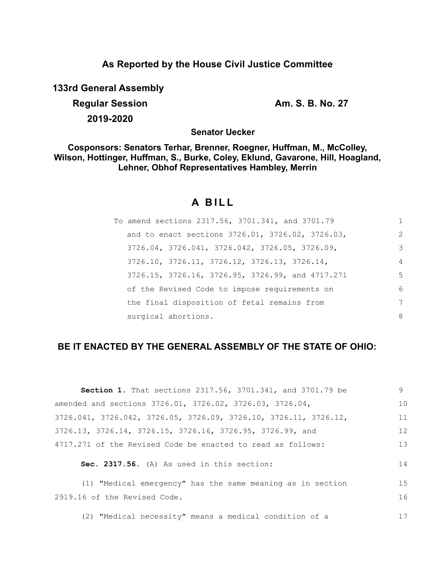## **As Reported by the House Civil Justice Committee**

**133rd General Assembly**

**Regular Session Am. S. B. No. 27 2019-2020**

**Senator Uecker**

**Cosponsors: Senators Terhar, Brenner, Roegner, Huffman, M., McColley, Wilson, Hottinger, Huffman, S., Burke, Coley, Eklund, Gavarone, Hill, Hoagland, Lehner, Obhof Representatives Hambley, Merrin**

# **A B I L L**

| To amend sections 2317.56, 3701.341, and 3701.79 | 1              |
|--------------------------------------------------|----------------|
| and to enact sections 3726.01, 3726.02, 3726.03, | $\mathcal{L}$  |
| 3726.04, 3726.041, 3726.042, 3726.05, 3726.09,   | 3              |
| 3726.10, 3726.11, 3726.12, 3726.13, 3726.14,     | $\overline{4}$ |
| 3726.15, 3726.16, 3726.95, 3726.99, and 4717.271 | 5              |
| of the Revised Code to impose requirements on    | 6              |
| the final disposition of fetal remains from      | 7              |
| surgical abortions.                              | 8              |

## **BE IT ENACTED BY THE GENERAL ASSEMBLY OF THE STATE OF OHIO:**

| <b>Section 1.</b> That sections 2317.56, 3701.341, and 3701.79 be                     | 9  |
|---------------------------------------------------------------------------------------|----|
| amended and sections 3726.01, 3726.02, 3726.03, 3726.04,                              | 10 |
| $3726.041$ , $3726.042$ , $3726.05$ , $3726.09$ , $3726.10$ , $3726.11$ , $3726.12$ , | 11 |
| 3726.13, 3726.14, 3726.15, 3726.16, 3726.95, 3726.99, and                             | 12 |
| 4717.271 of the Revised Code be enacted to read as follows:                           | 13 |
| Sec. 2317.56. (A) As used in this section:                                            | 14 |
| (1) "Medical emergency" has the same meaning as in section                            | 15 |
| 2919.16 of the Revised Code.                                                          | 16 |
| (2) "Medical necessity" means a medical condition of a                                | 17 |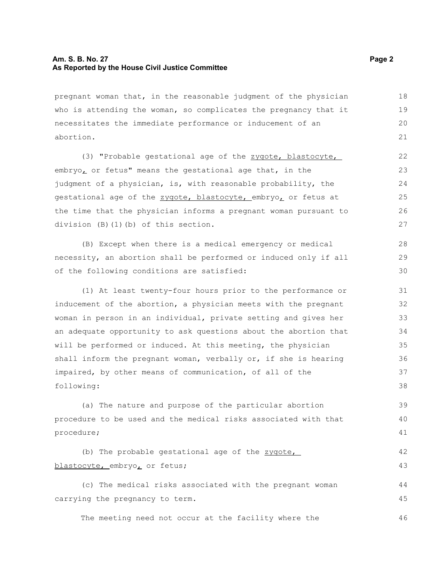#### **Am. S. B. No. 27** Page 2 **As Reported by the House Civil Justice Committee**

pregnant woman that, in the reasonable judgment of the physician who is attending the woman, so complicates the pregnancy that it necessitates the immediate performance or inducement of an abortion. 18 19 20 21

(3) "Probable gestational age of the zygote, blastocyte, embryo, or fetus" means the gestational age that, in the judgment of a physician, is, with reasonable probability, the gestational age of the zygote, blastocyte, embryo, or fetus at the time that the physician informs a pregnant woman pursuant to division (B)(1)(b) of this section.

(B) Except when there is a medical emergency or medical necessity, an abortion shall be performed or induced only if all of the following conditions are satisfied:

(1) At least twenty-four hours prior to the performance or inducement of the abortion, a physician meets with the pregnant woman in person in an individual, private setting and gives her an adequate opportunity to ask questions about the abortion that will be performed or induced. At this meeting, the physician shall inform the pregnant woman, verbally or, if she is hearing impaired, by other means of communication, of all of the following: 31 32 33 34 35 36 37 38

(a) The nature and purpose of the particular abortion procedure to be used and the medical risks associated with that procedure; 39 40 41

```
(b) The probable gestational age of the zygote,
blastocyte, embryo, or fetus;
                                                                            42
                                                                            43
```
(c) The medical risks associated with the pregnant woman carrying the pregnancy to term. 44 45

The meeting need not occur at the facility where the

28 29 30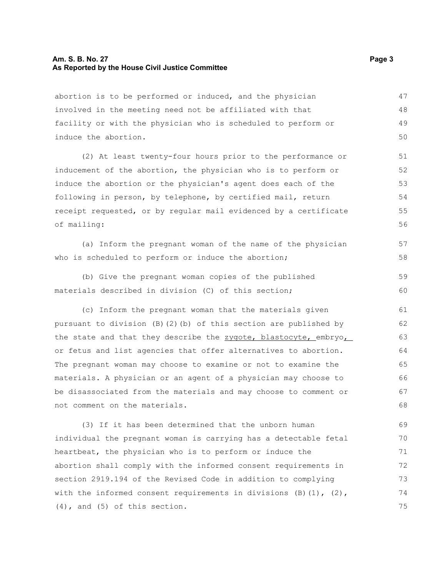#### **Am. S. B. No. 27** Page 3 **As Reported by the House Civil Justice Committee**

abortion is to be performed or induced, and the physician involved in the meeting need not be affiliated with that facility or with the physician who is scheduled to perform or induce the abortion. 47 48 49 50

(2) At least twenty-four hours prior to the performance or inducement of the abortion, the physician who is to perform or induce the abortion or the physician's agent does each of the following in person, by telephone, by certified mail, return receipt requested, or by regular mail evidenced by a certificate of mailing: 51 52 53 54 55 56

(a) Inform the pregnant woman of the name of the physician who is scheduled to perform or induce the abortion; 57 58

(b) Give the pregnant woman copies of the published materials described in division (C) of this section; 59 60

(c) Inform the pregnant woman that the materials given pursuant to division (B)(2)(b) of this section are published by the state and that they describe the zygote, blastocyte, embryo, or fetus and list agencies that offer alternatives to abortion. The pregnant woman may choose to examine or not to examine the materials. A physician or an agent of a physician may choose to be disassociated from the materials and may choose to comment or not comment on the materials. 61 62 63 64 65 66 67 68

(3) If it has been determined that the unborn human individual the pregnant woman is carrying has a detectable fetal heartbeat, the physician who is to perform or induce the abortion shall comply with the informed consent requirements in section 2919.194 of the Revised Code in addition to complying with the informed consent requirements in divisions  $(B)(1)$ ,  $(2)$ , (4), and (5) of this section. 69 70 71 72 73 74 75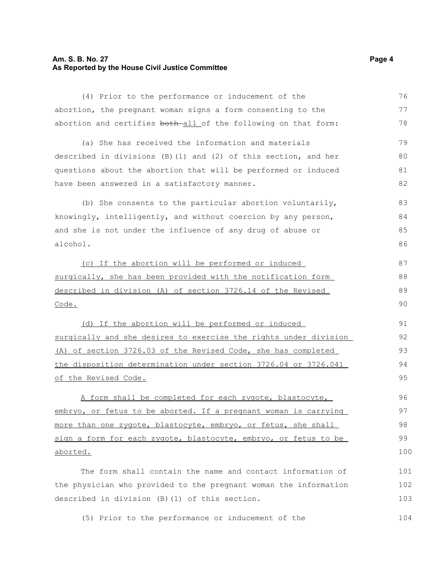### **Am. S. B. No. 27** Page 4 **As Reported by the House Civil Justice Committee**

| (4) Prior to the performance or inducement of the                 | 76  |
|-------------------------------------------------------------------|-----|
| abortion, the pregnant woman signs a form consenting to the       | 77  |
| abortion and certifies both all of the following on that form:    | 78  |
| (a) She has received the information and materials                | 79  |
| described in divisions $(B)$ (1) and (2) of this section, and her | 80  |
| questions about the abortion that will be performed or induced    | 81  |
| have been answered in a satisfactory manner.                      | 82  |
| (b) She consents to the particular abortion voluntarily,          | 83  |
| knowingly, intelligently, and without coercion by any person,     | 84  |
| and she is not under the influence of any drug of abuse or        | 85  |
| alcohol.                                                          | 86  |
| (c) If the abortion will be performed or induced                  | 87  |
| surgically, she has been provided with the notification form      | 88  |
| described in division (A) of section 3726.14 of the Revised       | 89  |
| Code.                                                             | 90  |
| (d) If the abortion will be performed or induced                  | 91  |
| surgically and she desires to exercise the rights under division  | 92  |
| (A) of section 3726.03 of the Revised Code, she has completed     | 93  |
| the disposition determination under section 3726.04 or 3726.041   | 94  |
| of the Revised Code.                                              | 95  |
| A form shall be completed for each zygote, blastocyte,            | 96  |
| embryo, or fetus to be aborted. If a pregnant woman is carrying   | 97  |
| more than one zygote, blastocyte, embryo, or fetus, she shall     | 98  |
| sign a form for each zygote, blastocyte, embryo, or fetus to be   | 99  |
| <u>aborted.</u>                                                   | 100 |
| The form shall contain the name and contact information of        | 101 |
| the physician who provided to the pregnant woman the information  | 102 |
| described in division (B) (1) of this section.                    | 103 |
| (5) Prior to the performance or inducement of the                 | 104 |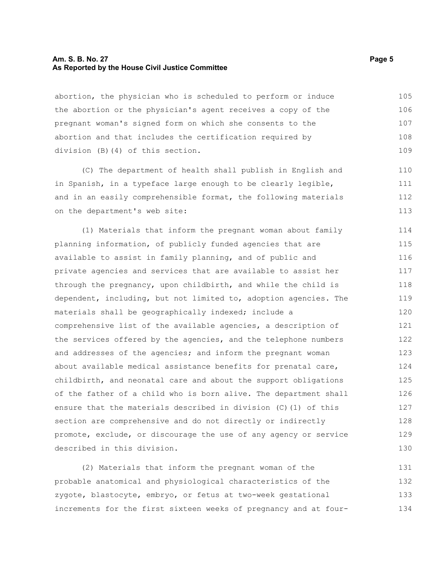#### **Am. S. B. No. 27** Page 5 **As Reported by the House Civil Justice Committee**

abortion, the physician who is scheduled to perform or induce the abortion or the physician's agent receives a copy of the pregnant woman's signed form on which she consents to the abortion and that includes the certification required by division (B)(4) of this section. 105 106 107 108 109

(C) The department of health shall publish in English and in Spanish, in a typeface large enough to be clearly legible, and in an easily comprehensible format, the following materials on the department's web site: 110 111 112 113

(1) Materials that inform the pregnant woman about family planning information, of publicly funded agencies that are available to assist in family planning, and of public and private agencies and services that are available to assist her through the pregnancy, upon childbirth, and while the child is dependent, including, but not limited to, adoption agencies. The materials shall be geographically indexed; include a comprehensive list of the available agencies, a description of the services offered by the agencies, and the telephone numbers and addresses of the agencies; and inform the pregnant woman about available medical assistance benefits for prenatal care, childbirth, and neonatal care and about the support obligations of the father of a child who is born alive. The department shall ensure that the materials described in division (C)(1) of this section are comprehensive and do not directly or indirectly promote, exclude, or discourage the use of any agency or service described in this division. 114 115 116 117 118 119 120 121 122 123 124 125 126 127 128 129 130

(2) Materials that inform the pregnant woman of the probable anatomical and physiological characteristics of the zygote, blastocyte, embryo, or fetus at two-week gestational increments for the first sixteen weeks of pregnancy and at four-131 132 133 134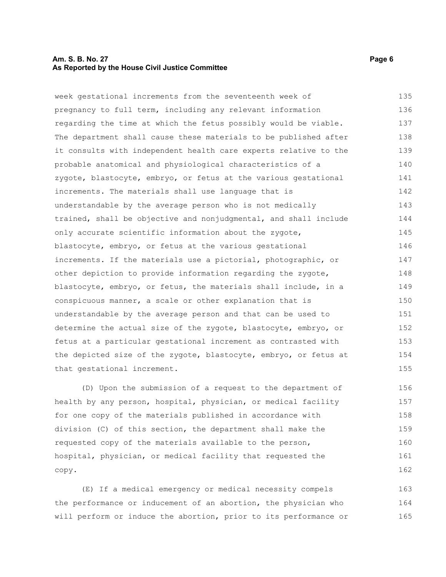#### **Am. S. B. No. 27** Page 6 **As Reported by the House Civil Justice Committee**

week gestational increments from the seventeenth week of pregnancy to full term, including any relevant information regarding the time at which the fetus possibly would be viable. The department shall cause these materials to be published after it consults with independent health care experts relative to the probable anatomical and physiological characteristics of a zygote, blastocyte, embryo, or fetus at the various gestational increments. The materials shall use language that is understandable by the average person who is not medically trained, shall be objective and nonjudgmental, and shall include only accurate scientific information about the zygote, blastocyte, embryo, or fetus at the various gestational increments. If the materials use a pictorial, photographic, or other depiction to provide information regarding the zygote, blastocyte, embryo, or fetus, the materials shall include, in a conspicuous manner, a scale or other explanation that is understandable by the average person and that can be used to determine the actual size of the zygote, blastocyte, embryo, or fetus at a particular gestational increment as contrasted with the depicted size of the zygote, blastocyte, embryo, or fetus at that gestational increment. 135 136 137 138 139 140 141 142 143 144 145 146 147 148 149 150 151 152 153 154 155

(D) Upon the submission of a request to the department of health by any person, hospital, physician, or medical facility for one copy of the materials published in accordance with division (C) of this section, the department shall make the requested copy of the materials available to the person, hospital, physician, or medical facility that requested the copy. 156 157 158 159 160 161 162

(E) If a medical emergency or medical necessity compels the performance or inducement of an abortion, the physician who will perform or induce the abortion, prior to its performance or 163 164 165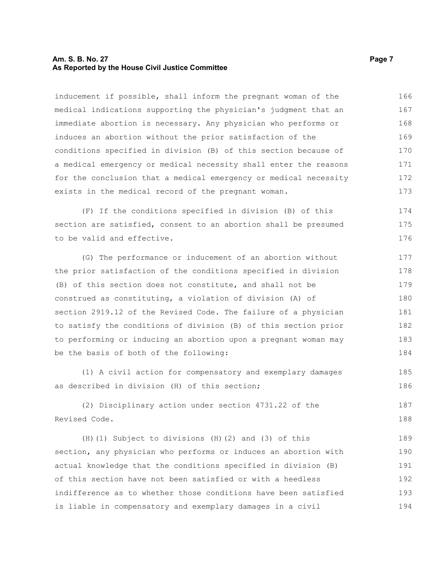#### **Am. S. B. No. 27** Page 7 **As Reported by the House Civil Justice Committee**

inducement if possible, shall inform the pregnant woman of the medical indications supporting the physician's judgment that an immediate abortion is necessary. Any physician who performs or induces an abortion without the prior satisfaction of the conditions specified in division (B) of this section because of a medical emergency or medical necessity shall enter the reasons for the conclusion that a medical emergency or medical necessity exists in the medical record of the pregnant woman. 166 167 168 169 170 171 172 173

(F) If the conditions specified in division (B) of this section are satisfied, consent to an abortion shall be presumed to be valid and effective. 174 175 176

(G) The performance or inducement of an abortion without the prior satisfaction of the conditions specified in division (B) of this section does not constitute, and shall not be construed as constituting, a violation of division (A) of section 2919.12 of the Revised Code. The failure of a physician to satisfy the conditions of division (B) of this section prior to performing or inducing an abortion upon a pregnant woman may be the basis of both of the following: 177 178 179 180 181 182 183 184

(1) A civil action for compensatory and exemplary damages as described in division (H) of this section;

(2) Disciplinary action under section 4731.22 of the Revised Code. 187 188

(H)(1) Subject to divisions (H)(2) and (3) of this section, any physician who performs or induces an abortion with actual knowledge that the conditions specified in division (B) of this section have not been satisfied or with a heedless indifference as to whether those conditions have been satisfied is liable in compensatory and exemplary damages in a civil 189 190 191 192 193 194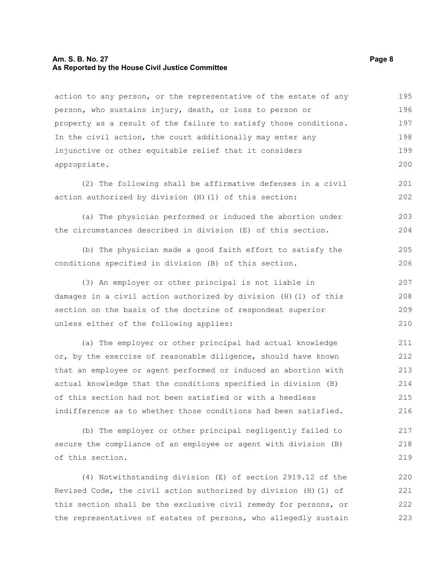#### **Am. S. B. No. 27** Page 8 **As Reported by the House Civil Justice Committee**

action to any person, or the representative of the estate of any person, who sustains injury, death, or loss to person or property as a result of the failure to satisfy those conditions. In the civil action, the court additionally may enter any injunctive or other equitable relief that it considers appropriate. 195 196 197 198 199 200

(2) The following shall be affirmative defenses in a civil action authorized by division (H)(1) of this section:

(a) The physician performed or induced the abortion under the circumstances described in division (E) of this section. 203 204

(b) The physician made a good faith effort to satisfy the conditions specified in division (B) of this section. 205 206

(3) An employer or other principal is not liable in damages in a civil action authorized by division (H)(1) of this section on the basis of the doctrine of respondeat superior unless either of the following applies: 207 208 209 210

(a) The employer or other principal had actual knowledge or, by the exercise of reasonable diligence, should have known that an employee or agent performed or induced an abortion with actual knowledge that the conditions specified in division (B) of this section had not been satisfied or with a heedless indifference as to whether those conditions had been satisfied. 211 212 213 214 215 216

(b) The employer or other principal negligently failed to secure the compliance of an employee or agent with division (B) of this section. 217 218 219

(4) Notwithstanding division (E) of section 2919.12 of the Revised Code, the civil action authorized by division (H)(1) of this section shall be the exclusive civil remedy for persons, or the representatives of estates of persons, who allegedly sustain 220 221 222 223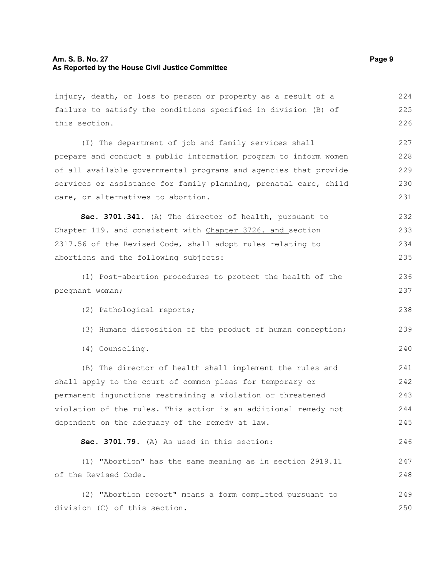injury, death, or loss to person or property as a result of a failure to satisfy the conditions specified in division (B) of this section. (I) The department of job and family services shall prepare and conduct a public information program to inform women of all available governmental programs and agencies that provide services or assistance for family planning, prenatal care, child care, or alternatives to abortion. **Sec. 3701.341.** (A) The director of health, pursuant to Chapter 119. and consistent with Chapter 3726. and section 2317.56 of the Revised Code, shall adopt rules relating to abortions and the following subjects: (1) Post-abortion procedures to protect the health of the pregnant woman; (2) Pathological reports; (3) Humane disposition of the product of human conception; (4) Counseling. (B) The director of health shall implement the rules and shall apply to the court of common pleas for temporary or permanent injunctions restraining a violation or threatened violation of the rules. This action is an additional remedy not dependent on the adequacy of the remedy at law. **Sec. 3701.79.** (A) As used in this section: (1) "Abortion" has the same meaning as in section 2919.11 of the Revised Code. (2) "Abortion report" means a form completed pursuant to division (C) of this section. 224 225 226 227 228 229 230 231 232 233 234 235 236 237 238 239 240 241 242 243 244 245 246 247 248 249 250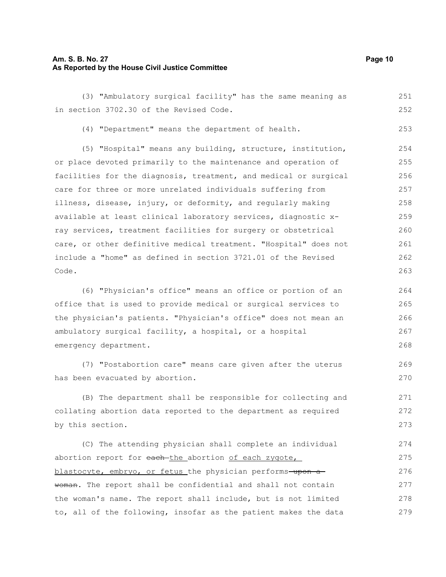#### **Am. S. B. No. 27 Page 10 As Reported by the House Civil Justice Committee**

(3) "Ambulatory surgical facility" has the same meaning as in section 3702.30 of the Revised Code. (4) "Department" means the department of health. (5) "Hospital" means any building, structure, institution, or place devoted primarily to the maintenance and operation of facilities for the diagnosis, treatment, and medical or surgical care for three or more unrelated individuals suffering from illness, disease, injury, or deformity, and regularly making available at least clinical laboratory services, diagnostic xray services, treatment facilities for surgery or obstetrical care, or other definitive medical treatment. "Hospital" does not include a "home" as defined in section 3721.01 of the Revised Code. (6) "Physician's office" means an office or portion of an office that is used to provide medical or surgical services to the physician's patients. "Physician's office" does not mean an ambulatory surgical facility, a hospital, or a hospital emergency department. (7) "Postabortion care" means care given after the uterus has been evacuated by abortion. (B) The department shall be responsible for collecting and collating abortion data reported to the department as required by this section. 251 252 253 254 255 256 257 258 259 260 261 262 263 264 265 266 267 268 269 270 271 272 273

(C) The attending physician shall complete an individual abortion report for each-the abortion of each zygote, blastocyte, embryo, or fetus the physician performs-upon awoman. The report shall be confidential and shall not contain the woman's name. The report shall include, but is not limited to, all of the following, insofar as the patient makes the data 274 275 276 277 278 279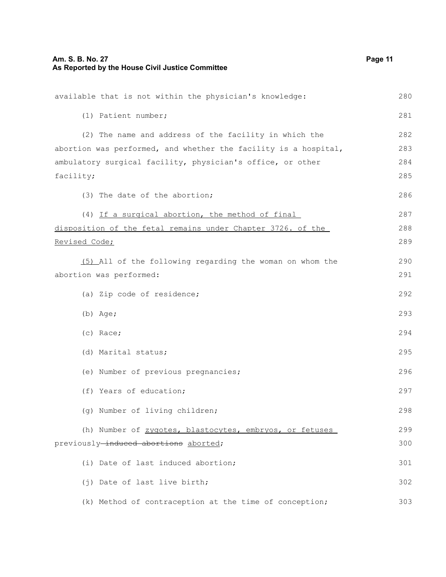| available that is not within the physician's knowledge:         | 280 |
|-----------------------------------------------------------------|-----|
| (1) Patient number;                                             | 281 |
| (2) The name and address of the facility in which the           | 282 |
| abortion was performed, and whether the facility is a hospital, | 283 |
| ambulatory surgical facility, physician's office, or other      | 284 |
| facility;                                                       | 285 |
| (3) The date of the abortion;                                   | 286 |
| (4) If a surgical abortion, the method of final                 | 287 |
| disposition of the fetal remains under Chapter 3726. of the     | 288 |
| Revised Code;                                                   | 289 |
| (5) All of the following regarding the woman on whom the        | 290 |
| abortion was performed:                                         | 291 |
| (a) Zip code of residence;                                      | 292 |
| $(b)$ Age;                                                      | 293 |
| (c) Race;                                                       | 294 |
| (d) Marital status;                                             | 295 |
| (e) Number of previous pregnancies;                             | 296 |
| (f) Years of education;                                         | 297 |
| (g) Number of living children;                                  | 298 |
| (h) Number of zygotes, blastocytes, embryos, or fetuses         | 299 |
| previously-induced abortions aborted;                           | 300 |
| (i) Date of last induced abortion;                              | 301 |
| (j) Date of last live birth;                                    | 302 |
| (k) Method of contraception at the time of conception;          | 303 |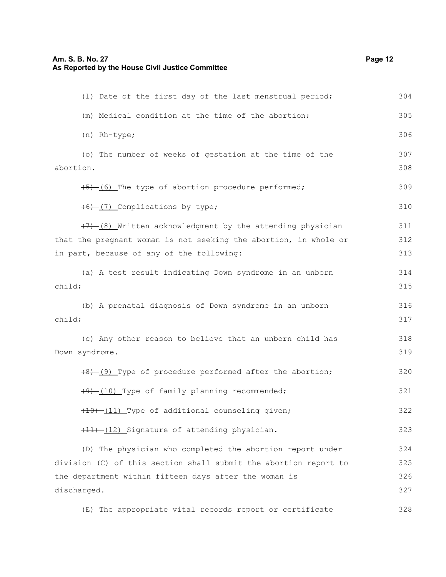| (1) Date of the first day of the last menstrual period;          | 304 |
|------------------------------------------------------------------|-----|
| (m) Medical condition at the time of the abortion;               | 305 |
| (n) Rh-type;                                                     | 306 |
| (o) The number of weeks of gestation at the time of the          | 307 |
| abortion.                                                        | 308 |
| (5) (6) The type of abortion procedure performed;                | 309 |
| $(6)$ (7) Complications by type;                                 | 310 |
| (7) (8) Written acknowledgment by the attending physician        | 311 |
| that the pregnant woman is not seeking the abortion, in whole or | 312 |
| in part, because of any of the following:                        | 313 |
| (a) A test result indicating Down syndrome in an unborn          | 314 |
| child;                                                           | 315 |
| (b) A prenatal diagnosis of Down syndrome in an unborn           | 316 |
| child;                                                           | 317 |
| (c) Any other reason to believe that an unborn child has         | 318 |
| Down syndrome.                                                   | 319 |
| (8) (9) Type of procedure performed after the abortion;          | 320 |
| (9) (10) Type of family planning recommended;                    | 321 |
| (10) -(11) Type of additional counseling given;                  | 322 |
| (11) -(12) Signature of attending physician.                     | 323 |
| (D) The physician who completed the abortion report under        | 324 |
| division (C) of this section shall submit the abortion report to | 325 |
| the department within fifteen days after the woman is            | 326 |
| discharged.                                                      | 327 |

(E) The appropriate vital records report or certificate 328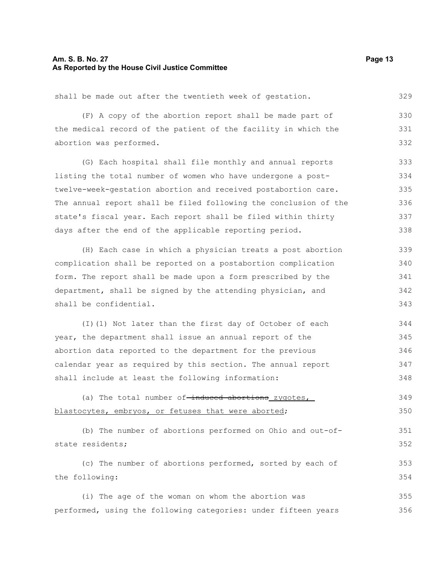#### **Am. S. B. No. 27 Page 13 As Reported by the House Civil Justice Committee**

shall be made out after the twentieth week of gestation. 329

(F) A copy of the abortion report shall be made part of the medical record of the patient of the facility in which the abortion was performed. 330 331 332

(G) Each hospital shall file monthly and annual reports listing the total number of women who have undergone a posttwelve-week-gestation abortion and received postabortion care. The annual report shall be filed following the conclusion of the state's fiscal year. Each report shall be filed within thirty days after the end of the applicable reporting period. 333 334 335 336 337 338

(H) Each case in which a physician treats a post abortion complication shall be reported on a postabortion complication form. The report shall be made upon a form prescribed by the department, shall be signed by the attending physician, and shall be confidential. 339 340 341 342 343

(I)(1) Not later than the first day of October of each year, the department shall issue an annual report of the abortion data reported to the department for the previous calendar year as required by this section. The annual report shall include at least the following information: 344 345 346 347 348

(a) The total number of-induced abortions zygotes, blastocytes, embryos, or fetuses that were aborted; 349 350

(b) The number of abortions performed on Ohio and out-ofstate residents; 351 352

(c) The number of abortions performed, sorted by each of the following: 353 354

(i) The age of the woman on whom the abortion was performed, using the following categories: under fifteen years 355 356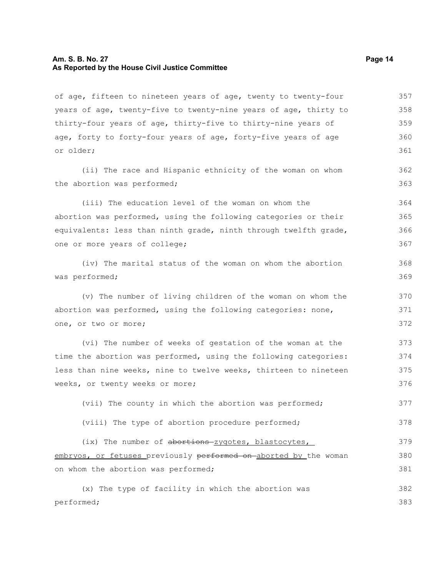#### **Am. S. B. No. 27 Page 14 As Reported by the House Civil Justice Committee**

of age, fifteen to nineteen years of age, twenty to twenty-four years of age, twenty-five to twenty-nine years of age, thirty to thirty-four years of age, thirty-five to thirty-nine years of age, forty to forty-four years of age, forty-five years of age or older; (ii) The race and Hispanic ethnicity of the woman on whom the abortion was performed; (iii) The education level of the woman on whom the abortion was performed, using the following categories or their equivalents: less than ninth grade, ninth through twelfth grade, one or more years of college; (iv) The marital status of the woman on whom the abortion was performed; (v) The number of living children of the woman on whom the abortion was performed, using the following categories: none, one, or two or more; (vi) The number of weeks of gestation of the woman at the time the abortion was performed, using the following categories: less than nine weeks, nine to twelve weeks, thirteen to nineteen weeks, or twenty weeks or more; (vii) The county in which the abortion was performed; (viii) The type of abortion procedure performed; (ix) The number of abortions zygotes, blastocytes, embryos, or fetuses previously performed on aborted by the woman on whom the abortion was performed; (x) The type of facility in which the abortion was performed; 357 358 359 360 361 362 363 364 365 366 367 368 369 370 371 372 373 374 375 376 377 378 379 380 381 382 383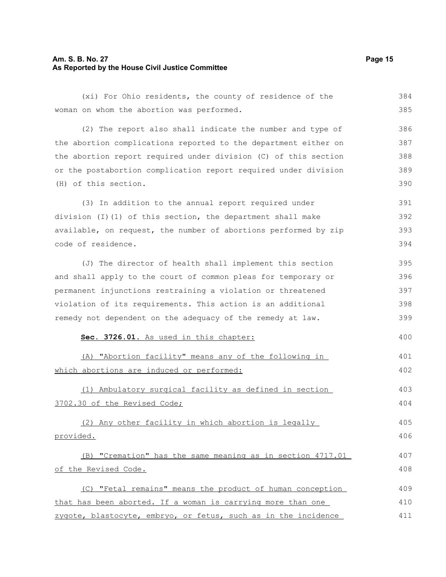#### **Am. S. B. No. 27 Page 15 As Reported by the House Civil Justice Committee**

(xi) For Ohio residents, the county of residence of the woman on whom the abortion was performed. 384 385

(2) The report also shall indicate the number and type of the abortion complications reported to the department either on the abortion report required under division (C) of this section or the postabortion complication report required under division (H) of this section. 386 387 388 389 390

(3) In addition to the annual report required under division (I)(1) of this section, the department shall make available, on request, the number of abortions performed by zip code of residence. 391 392 393 394

(J) The director of health shall implement this section and shall apply to the court of common pleas for temporary or permanent injunctions restraining a violation or threatened violation of its requirements. This action is an additional remedy not dependent on the adequacy of the remedy at law. 395 396 397 398 399

#### **Sec. 3726.01.** As used in this chapter:

(A) "Abortion facility" means any of the following in which abortions are induced or performed: 401 402

(1) Ambulatory surgical facility as defined in section 3702.30 of the Revised Code;

(2) Any other facility in which abortion is legally provided. 405 406

(B) "Cremation" has the same meaning as in section 4717.01 of the Revised Code. 407 408

(C) "Fetal remains" means the product of human conception that has been aborted. If a woman is carrying more than one zygote, blastocyte, embryo, or fetus, such as in the incidence 409 410 411

400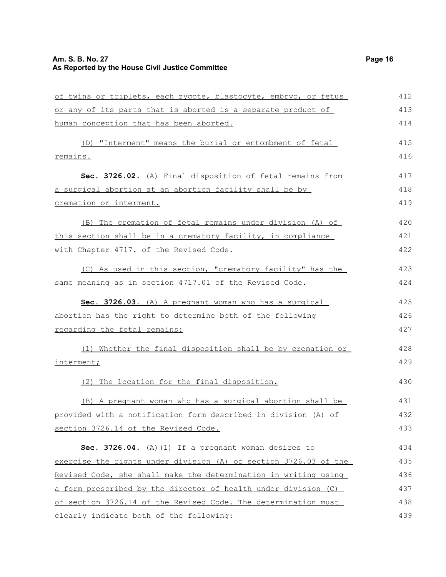### **Am. S. B. No. 27 Page 16 As Reported by the House Civil Justice Committee**

| of twins or triplets, each zygote, blastocyte, embryo, or fetus  | 412 |
|------------------------------------------------------------------|-----|
| or any of its parts that is aborted is a separate product of     | 413 |
| human conception that has been aborted.                          | 414 |
| (D) "Interment" means the burial or entombment of fetal          | 415 |
| remains.                                                         | 416 |
| Sec. 3726.02. (A) Final disposition of fetal remains from        | 417 |
| a surgical abortion at an abortion facility shall be by          | 418 |
| cremation or interment.                                          | 419 |
| (B) The cremation of fetal remains under division (A) of         | 420 |
| this section shall be in a crematory facility, in compliance     | 421 |
| with Chapter 4717. of the Revised Code.                          | 422 |
| (C) As used in this section, "crematory facility" has the        | 423 |
| same meaning as in section 4717.01 of the Revised Code.          | 424 |
| Sec. 3726.03. (A) A pregnant woman who has a surgical            | 425 |
| abortion has the right to determine both of the following        | 426 |
| regarding the fetal remains:                                     | 427 |
| (1) Whether the final disposition shall be by cremation or       | 428 |
| interment;                                                       | 429 |
| (2) The location for the final disposition.                      | 430 |
| (B) A pregnant woman who has a surgical abortion shall be        | 431 |
| provided with a notification form described in division (A) of   | 432 |
| section 3726.14 of the Revised Code.                             | 433 |
| Sec. 3726.04. (A) (1) If a pregnant woman desires to             | 434 |
| exercise the rights under division (A) of section 3726.03 of the | 435 |
| Revised Code, she shall make the determination in writing using  | 436 |
| a form prescribed by the director of health under division (C)   | 437 |
| of section 3726.14 of the Revised Code. The determination must   | 438 |
| clearly indicate both of the following:                          | 439 |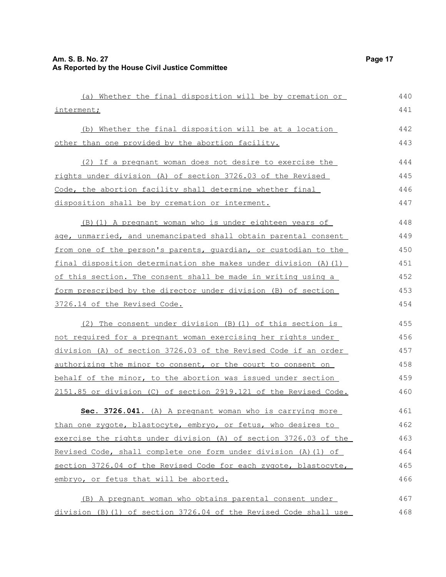| (a) Whether the final disposition will be by cremation or        | 440 |
|------------------------------------------------------------------|-----|
| interment;                                                       | 441 |
| (b) Whether the final disposition will be at a location          | 442 |
| other than one provided by the abortion facility.                | 443 |
| (2) If a pregnant woman does not desire to exercise the          | 444 |
| rights under division (A) of section 3726.03 of the Revised      | 445 |
| Code, the abortion facility shall determine whether final        | 446 |
| disposition shall be by cremation or interment.                  | 447 |
| (B) (1) A pregnant woman who is under eighteen years of          | 448 |
| age, unmarried, and unemancipated shall obtain parental consent  | 449 |
| from one of the person's parents, quardian, or custodian to the  | 450 |
| final disposition determination she makes under division (A) (1) | 451 |
| of this section. The consent shall be made in writing using a    | 452 |
| form prescribed by the director under division (B) of section    | 453 |
| 3726.14 of the Revised Code.                                     | 454 |
| (2) The consent under division (B) (1) of this section is        | 455 |
| not required for a pregnant woman exercising her rights under    | 456 |
| division (A) of section 3726.03 of the Revised Code if an order  | 457 |
| authorizing the minor to consent, or the court to consent on     | 458 |
| behalf of the minor, to the abortion was issued under section    | 459 |
| 2151.85 or division (C) of section 2919.121 of the Revised Code. | 460 |
| Sec. 3726.041. (A) A pregnant woman who is carrying more         | 461 |
| than one zygote, blastocyte, embryo, or fetus, who desires to    | 462 |
| exercise the rights under division (A) of section 3726.03 of the | 463 |
| Revised Code, shall complete one form under division (A) (1) of  | 464 |
| section 3726.04 of the Revised Code for each zygote, blastocyte, | 465 |
| embryo, or fetus that will be aborted.                           | 466 |
| (B) A pregnant woman who obtains parental consent under          | 467 |
| division (B)(1) of section 3726.04 of the Revised Code shall use | 468 |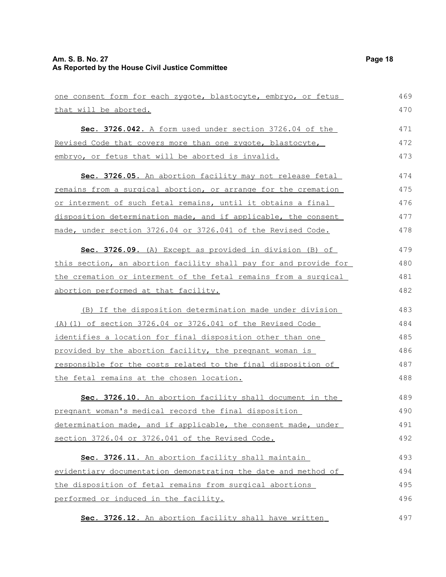| one consent form for each zygote, blastocyte, embryo, or fetus       | 469 |
|----------------------------------------------------------------------|-----|
| that will be aborted.                                                | 470 |
| Sec. 3726.042. A form used under section 3726.04 of the              | 471 |
| Revised Code that covers more than one zygote, blastocyte,           | 472 |
| embryo, or fetus that will be aborted is invalid.                    | 473 |
| Sec. 3726.05. An abortion facility may not release fetal             | 474 |
| remains from a surgical abortion, or arrange for the cremation       | 475 |
| or interment of such fetal remains, until it obtains a final         | 476 |
| disposition determination made, and if applicable, the consent       | 477 |
| made, under section 3726.04 or 3726.041 of the Revised Code.         | 478 |
| Sec. 3726.09. (A) Except as provided in division (B) of              | 479 |
| this section, an abortion facility shall pay for and provide for     | 480 |
| the cremation or interment of the fetal remains from a surgical      | 481 |
| abortion performed at that facility.                                 | 482 |
| (B) If the disposition determination made under division             | 483 |
| (A) (1) of section 3726.04 or 3726.041 of the Revised Code           | 484 |
| identifies a location for final disposition other than one           | 485 |
| provided by the abortion facility, the pregnant woman is             | 486 |
| <u>responsible for the costs related to the final disposition of</u> | 487 |
| the fetal remains at the chosen location.                            | 488 |
| Sec. 3726.10. An abortion facility shall document in the             | 489 |
| pregnant woman's medical record the final disposition                | 490 |
| determination made, and if applicable, the consent made, under       | 491 |
| section 3726.04 or 3726.041 of the Revised Code.                     | 492 |
| Sec. 3726.11. An abortion facility shall maintain                    | 493 |
| evidentiary documentation demonstrating the date and method of       | 494 |
| the disposition of fetal remains from surgical abortions             | 495 |
| performed or induced in the facility.                                | 496 |
| Sec. 3726.12. An abortion facility shall have written                | 497 |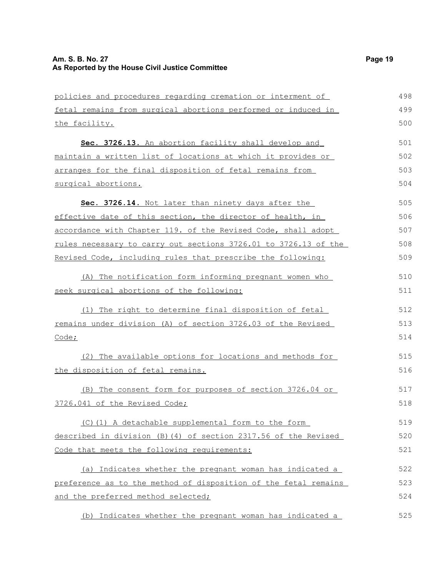policies and procedures regarding cremation or interment of fetal remains from surgical abortions performed or induced in **Sec. 3726.13.** An abortion facility shall develop and maintain a written list of locations at which it provides or arranges for the final disposition of fetal remains from surgical abortions. **Sec. 3726.14.** Not later than ninety days after the effective date of this section, the director of health, in accordance with Chapter 119. of the Revised Code, shall adopt rules necessary to carry out sections 3726.01 to 3726.13 of the Revised Code, including rules that prescribe the following: (A) The notification form informing pregnant women who seek surgical abortions of the following: (1) The right to determine final disposition of fetal remains under division (A) of section 3726.03 of the Revised 498 499 500 501 502 503 504 505 506 507 508 509 510 511 512 513

Code;

the facility.

(2) The available options for locations and methods for the disposition of fetal remains. 515 516

(B) The consent form for purposes of section 3726.04 or 3726.041 of the Revised Code; 517 518

(C)(1) A detachable supplemental form to the form described in division (B)(4) of section 2317.56 of the Revised Code that meets the following requirements: 519 520 521

(a) Indicates whether the pregnant woman has indicated a preference as to the method of disposition of the fetal remains and the preferred method selected; 522 523 524

(b) Indicates whether the pregnant woman has indicated a 525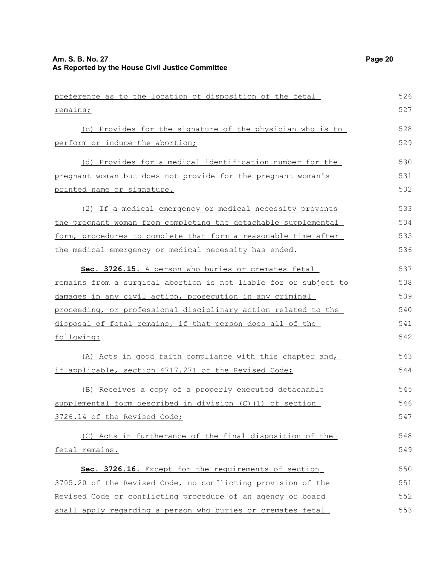preference as to the location of disposition of the fetal remains; (c) Provides for the signature of the physician who is to perform or induce the abortion; (d) Provides for a medical identification number for the pregnant woman but does not provide for the pregnant woman's printed name or signature. (2) If a medical emergency or medical necessity prevents the pregnant woman from completing the detachable supplemental form, procedures to complete that form a reasonable time after the medical emergency or medical necessity has ended. **Sec. 3726.15.** A person who buries or cremates fetal remains from a surgical abortion is not liable for or subject to damages in any civil action, prosecution in any criminal proceeding, or professional disciplinary action related to the disposal of fetal remains, if that person does all of the following: (A) Acts in good faith compliance with this chapter and, if applicable, section 4717.271 of the Revised Code; (B) Receives a copy of a properly executed detachable supplemental form described in division (C)(1) of section 3726.14 of the Revised Code; (C) Acts in furtherance of the final disposition of the fetal remains. **Sec. 3726.16.** Except for the requirements of section 3705.20 of the Revised Code, no conflicting provision of the Revised Code or conflicting procedure of an agency or board shall apply regarding a person who buries or cremates fetal 526 527 528 529 530 531 532 533 534 535 536 537 538 539 540 541 542 543 544 545 546 547 548 549 550 551 552 553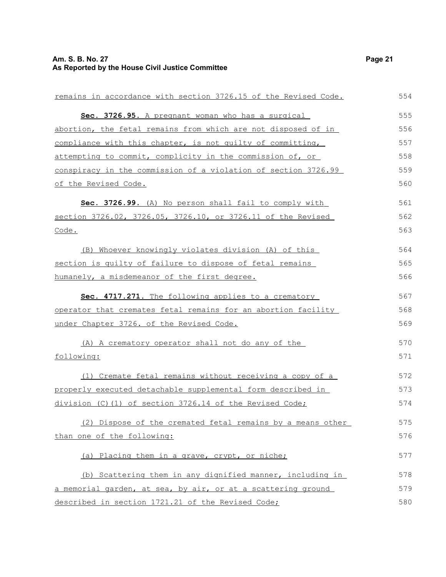| remains in accordance with section 3726.15 of the Revised Code. | 554 |
|-----------------------------------------------------------------|-----|
| Sec. 3726.95. A pregnant woman who has a surgical               | 555 |
| abortion, the fetal remains from which are not disposed of in   | 556 |
| compliance with this chapter, is not quilty of committing,      | 557 |
| attempting to commit, complicity in the commission of, or       | 558 |
| conspiracy in the commission of a violation of section 3726.99  | 559 |
| of the Revised Code.                                            | 560 |
| Sec. 3726.99. (A) No person shall fail to comply with           | 561 |
| section 3726.02, 3726.05, 3726.10, or 3726.11 of the Revised    | 562 |
| Code.                                                           | 563 |
| (B) Whoever knowingly violates division (A) of this             | 564 |
| section is quilty of failure to dispose of fetal remains        | 565 |
| humanely, a misdemeanor of the first degree.                    | 566 |
| Sec. 4717.271. The following applies to a crematory             | 567 |
| operator that cremates fetal remains for an abortion facility   | 568 |
| under Chapter 3726. of the Revised Code.                        | 569 |
| (A) A crematory operator shall not do any of the                | 570 |
| following:                                                      | 571 |
| (1) Cremate fetal remains without receiving a copy of a         | 572 |
| properly executed detachable supplemental form described in     | 573 |
| division (C)(1) of section 3726.14 of the Revised Code;         | 574 |
| (2) Dispose of the cremated fetal remains by a means other      | 575 |
| than one of the following:                                      | 576 |
| (a) Placing them in a grave, crypt, or niche;                   | 577 |
| (b) Scattering them in any dignified manner, including in       | 578 |
| a memorial garden, at sea, by air, or at a scattering ground    | 579 |
| described in section 1721.21 of the Revised Code;               | 580 |